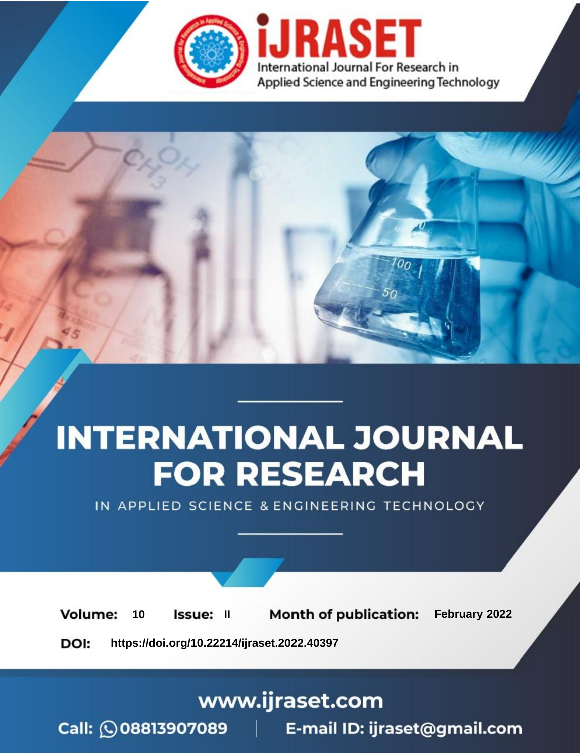

# **INTERNATIONAL JOURNAL FOR RESEARCH**

IN APPLIED SCIENCE & ENGINEERING TECHNOLOGY

**Month of publication:** February 2022 **Volume:** 10 **Issue: II** DOI: https://doi.org/10.22214/ijraset.2022.40397

www.ijraset.com

 $Call: \bigcirc$ 08813907089 E-mail ID: ijraset@gmail.com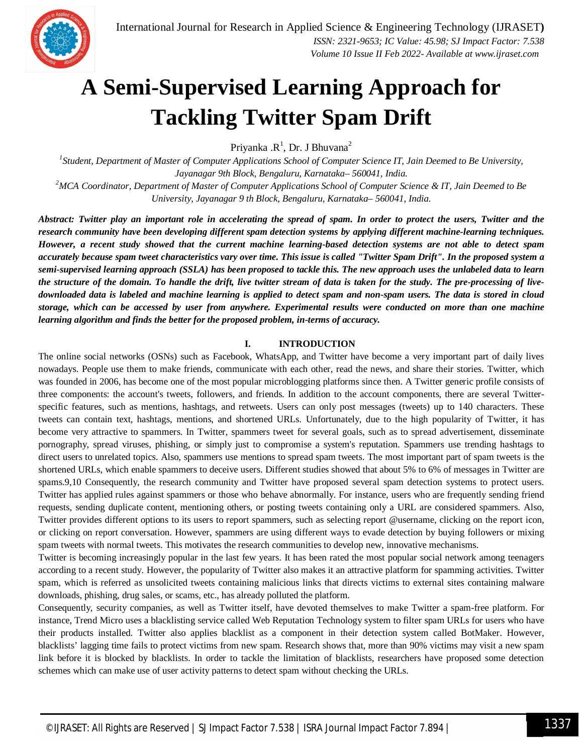

### **A Semi-Supervised Learning Approach for Tackling Twitter Spam Drift**

Priyanka .R<sup>1</sup>, Dr. J Bhuvana<sup>2</sup>

<sup>1</sup> Student, Department of Master of Computer Applications School of Computer Science IT, Jain Deemed to Be University, *Jayanagar 9th Block, Bengaluru, Karnataka– 560041, India. <sup>2</sup>MCA Coordinator, Department of Master of Computer Applications School of Computer Science & IT, Jain Deemed to Be University, Jayanagar 9 th Block, Bengaluru, Karnataka– 560041, India.*

*Abstract: Twitter play an important role in accelerating the spread of spam. In order to protect the users, Twitter and the research community have been developing different spam detection systems by applying different machine-learning techniques. However, a recent study showed that the current machine learning-based detection systems are not able to detect spam accurately because spam tweet characteristics vary over time. This issue is called "Twitter Spam Drift". In the proposed system a semi-supervised learning approach (SSLA) has been proposed to tackle this. The new approach uses the unlabeled data to learn the structure of the domain. To handle the drift, live twitter stream of data is taken for the study. The pre-processing of livedownloaded data is labeled and machine learning is applied to detect spam and non-spam users. The data is stored in cloud storage, which can be accessed by user from anywhere. Experimental results were conducted on more than one machine learning algorithm and finds the better for the proposed problem, in-terms of accuracy.*

#### **I. INTRODUCTION**

The online social networks (OSNs) such as Facebook, WhatsApp, and Twitter have become a very important part of daily lives nowadays. People use them to make friends, communicate with each other, read the news, and share their stories. Twitter, which was founded in 2006, has become one of the most popular microblogging platforms since then. A Twitter generic profile consists of three components: the account's tweets, followers, and friends. In addition to the account components, there are several Twitterspecific features, such as mentions, hashtags, and retweets. Users can only post messages (tweets) up to 140 characters. These tweets can contain text, hashtags, mentions, and shortened URLs. Unfortunately, due to the high popularity of Twitter, it has become very attractive to spammers. In Twitter, spammers tweet for several goals, such as to spread advertisement, disseminate pornography, spread viruses, phishing, or simply just to compromise a system's reputation. Spammers use trending hashtags to direct users to unrelated topics. Also, spammers use mentions to spread spam tweets. The most important part of spam tweets is the shortened URLs, which enable spammers to deceive users. Different studies showed that about 5% to 6% of messages in Twitter are spams.9,10 Consequently, the research community and Twitter have proposed several spam detection systems to protect users. Twitter has applied rules against spammers or those who behave abnormally. For instance, users who are frequently sending friend requests, sending duplicate content, mentioning others, or posting tweets containing only a URL are considered spammers. Also, Twitter provides different options to its users to report spammers, such as selecting report @username, clicking on the report icon, or clicking on report conversation. However, spammers are using different ways to evade detection by buying followers or mixing spam tweets with normal tweets. This motivates the research communities to develop new, innovative mechanisms.

Twitter is becoming increasingly popular in the last few years. It has been rated the most popular social network among teenagers according to a recent study. However, the popularity of Twitter also makes it an attractive platform for spamming activities. Twitter spam, which is referred as unsolicited tweets containing malicious links that directs victims to external sites containing malware downloads, phishing, drug sales, or scams, etc., has already polluted the platform.

Consequently, security companies, as well as Twitter itself, have devoted themselves to make Twitter a spam-free platform. For instance, Trend Micro uses a blacklisting service called Web Reputation Technology system to filter spam URLs for users who have their products installed. Twitter also applies blacklist as a component in their detection system called BotMaker. However, blacklists' lagging time fails to protect victims from new spam. Research shows that, more than 90% victims may visit a new spam link before it is blocked by blacklists. In order to tackle the limitation of blacklists, researchers have proposed some detection schemes which can make use of user activity patterns to detect spam without checking the URLs.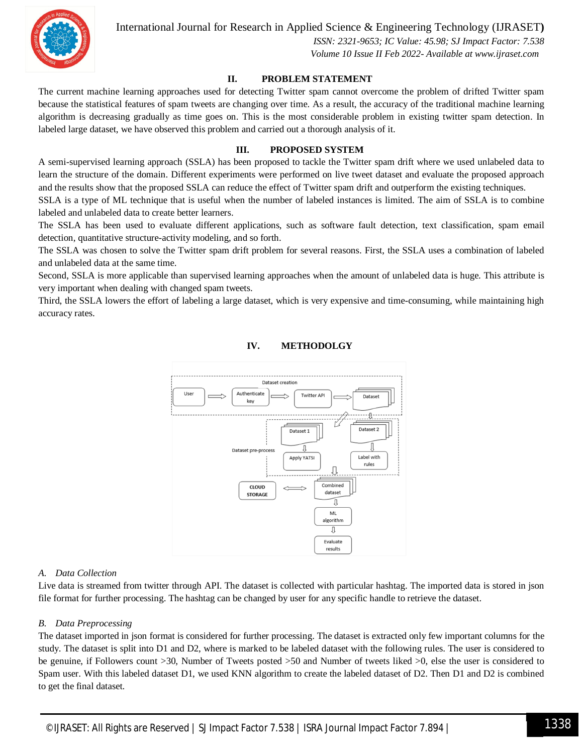

International Journal for Research in Applied Science & Engineering Technology (IJRASET**)**

 *ISSN: 2321-9653; IC Value: 45.98; SJ Impact Factor: 7.538 Volume 10 Issue II Feb 2022- Available at www.ijraset.com*

#### **II. PROBLEM STATEMENT**

The current machine learning approaches used for detecting Twitter spam cannot overcome the problem of drifted Twitter spam because the statistical features of spam tweets are changing over time. As a result, the accuracy of the traditional machine learning algorithm is decreasing gradually as time goes on. This is the most considerable problem in existing twitter spam detection. In labeled large dataset, we have observed this problem and carried out a thorough analysis of it.

#### **III. PROPOSED SYSTEM**

A semi-supervised learning approach (SSLA) has been proposed to tackle the Twitter spam drift where we used unlabeled data to learn the structure of the domain. Different experiments were performed on live tweet dataset and evaluate the proposed approach and the results show that the proposed SSLA can reduce the effect of Twitter spam drift and outperform the existing techniques.

SSLA is a type of ML technique that is useful when the number of labeled instances is limited. The aim of SSLA is to combine labeled and unlabeled data to create better learners.

The SSLA has been used to evaluate different applications, such as software fault detection, text classification, spam email detection, quantitative structure-activity modeling, and so forth.

The SSLA was chosen to solve the Twitter spam drift problem for several reasons. First, the SSLA uses a combination of labeled and unlabeled data at the same time.

Second, SSLA is more applicable than supervised learning approaches when the amount of unlabeled data is huge. This attribute is very important when dealing with changed spam tweets.

Third, the SSLA lowers the effort of labeling a large dataset, which is very expensive and time-consuming, while maintaining high accuracy rates.



#### **IV. METHODOLGY**

#### *A. Data Collection*

Live data is streamed from twitter through API. The dataset is collected with particular hashtag. The imported data is stored in json file format for further processing. The hashtag can be changed by user for any specific handle to retrieve the dataset.

#### *B. Data Preprocessing*

The dataset imported in json format is considered for further processing. The dataset is extracted only few important columns for the study. The dataset is split into D1 and D2, where is marked to be labeled dataset with the following rules. The user is considered to be genuine, if Followers count >30, Number of Tweets posted >50 and Number of tweets liked >0, else the user is considered to Spam user. With this labeled dataset D1, we used KNN algorithm to create the labeled dataset of D2. Then D1 and D2 is combined to get the final dataset.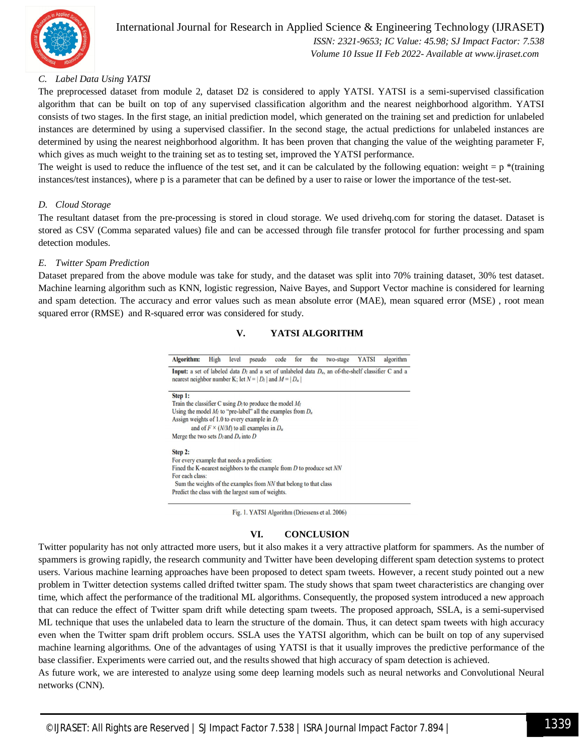

 *ISSN: 2321-9653; IC Value: 45.98; SJ Impact Factor: 7.538 Volume 10 Issue II Feb 2022- Available at www.ijraset.com*

#### *C. Label Data Using YATSI*

The preprocessed dataset from module 2, dataset D2 is considered to apply YATSI. YATSI is a semi-supervised classification algorithm that can be built on top of any supervised classification algorithm and the nearest neighborhood algorithm. YATSI consists of two stages. In the first stage, an initial prediction model, which generated on the training set and prediction for unlabeled instances are determined by using a supervised classifier. In the second stage, the actual predictions for unlabeled instances are determined by using the nearest neighborhood algorithm. It has been proven that changing the value of the weighting parameter F, which gives as much weight to the training set as to testing set, improved the YATSI performance.

The weight is used to reduce the influence of the test set, and it can be calculated by the following equation: weight  $= p^*$  (training instances/test instances), where p is a parameter that can be defined by a user to raise or lower the importance of the test-set.

#### *D. Cloud Storage*

The resultant dataset from the pre-processing is stored in cloud storage. We used drivehq.com for storing the dataset. Dataset is stored as CSV (Comma separated values) file and can be accessed through file transfer protocol for further processing and spam detection modules.

#### *E. Twitter Spam Prediction*

Dataset prepared from the above module was take for study, and the dataset was split into 70% training dataset, 30% test dataset. Machine learning algorithm such as KNN, logistic regression, Naive Bayes, and Support Vector machine is considered for learning and spam detection. The accuracy and error values such as mean absolute error (MAE), mean squared error (MSE) , root mean squared error (RMSE) and R-squared error was considered for study.

#### **V. YATSI ALGORITHM**

Algorithm: High level pseudo code for the two-stage YATSI algorithm Input: a set of labeled data  $D_l$  and a set of unlabeled data  $D_u$ , an of-the-shelf classifier C and a nearest neighbor number K; let  $N = |D_l|$  and  $M = |D_u|$ 

Step 1:

Train the classifier C using  $D_l$  to produce the model  $M_l$ Using the model  $M_l$  to "pre-label" all the examples from  $D_u$ Assign weights of 1.0 to every example in  $D_l$ and of  $F \times (N/M)$  to all examples in  $D_n$ Merge the two sets  $D_l$  and  $D_u$  into  $D$ 

Step 2:

For every example that needs a prediction: Fined the K-nearest neighbors to the example from  $D$  to produce set  $NN$ For each class: Sum the weights of the examples from NN that belong to that class Predict the class with the largest sum of weights.

Fig. 1. YATSI Algorithm (Driessens et al. 2006)

#### **VI. CONCLUSION**

Twitter popularity has not only attracted more users, but it also makes it a very attractive platform for spammers. As the number of spammers is growing rapidly, the research community and Twitter have been developing different spam detection systems to protect users. Various machine learning approaches have been proposed to detect spam tweets. However, a recent study pointed out a new problem in Twitter detection systems called drifted twitter spam. The study shows that spam tweet characteristics are changing over time, which affect the performance of the traditional ML algorithms. Consequently, the proposed system introduced a new approach that can reduce the effect of Twitter spam drift while detecting spam tweets. The proposed approach, SSLA, is a semi-supervised ML technique that uses the unlabeled data to learn the structure of the domain. Thus, it can detect spam tweets with high accuracy even when the Twitter spam drift problem occurs. SSLA uses the YATSI algorithm, which can be built on top of any supervised machine learning algorithms. One of the advantages of using YATSI is that it usually improves the predictive performance of the base classifier. Experiments were carried out, and the results showed that high accuracy of spam detection is achieved.

As future work, we are interested to analyze using some deep learning models such as neural networks and Convolutional Neural networks (CNN).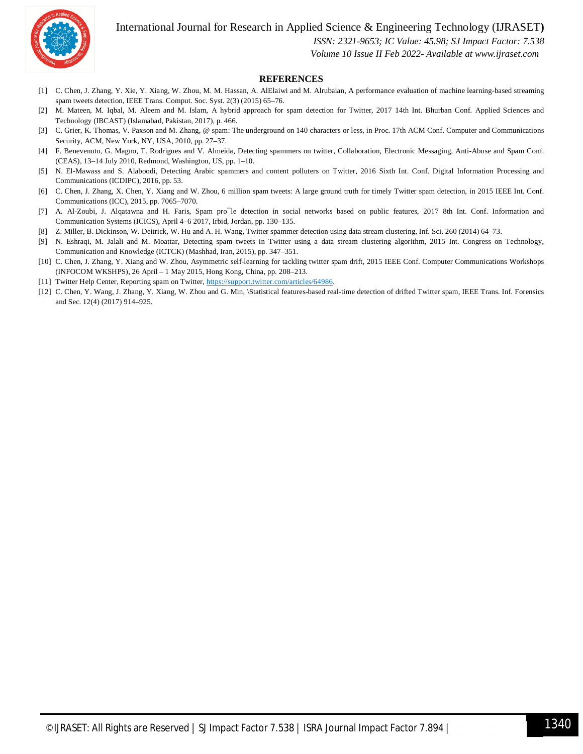International Journal for Research in Applied Science & Engineering Technology (IJRASET**)**



 *ISSN: 2321-9653; IC Value: 45.98; SJ Impact Factor: 7.538*

#### *Volume 10 Issue II Feb 2022- Available at www.ijraset.com*

#### **REFERENCES**

- [1] C. Chen, J. Zhang, Y. Xie, Y. Xiang, W. Zhou, M. M. Hassan, A. AlElaiwi and M. Alrubaian, A performance evaluation of machine learning-based streaming spam tweets detection, IEEE Trans. Comput. Soc. Syst. 2(3) (2015) 65–76.
- [2] M. Mateen, M. Iqbal, M. Aleem and M. Islam, A hybrid approach for spam detection for Twitter, 2017 14th Int. Bhurban Conf. Applied Sciences and Technology (IBCAST) (Islamabad, Pakistan, 2017), p. 466.
- [3] C. Grier, K. Thomas, V. Paxson and M. Zhang, @ spam: The underground on 140 characters or less, in Proc. 17th ACM Conf. Computer and Communications Security, ACM, New York, NY, USA, 2010, pp. 27–37.
- [4] F. Benevenuto, G. Magno, T. Rodrigues and V. Almeida, Detecting spammers on twitter, Collaboration, Electronic Messaging, Anti-Abuse and Spam Conf. (CEAS), 13–14 July 2010, Redmond, Washington, US, pp. 1–10.
- [5] N. El-Mawass and S. Alaboodi, Detecting Arabic spammers and content polluters on Twitter, 2016 Sixth Int. Conf. Digital Information Processing and Communications (ICDIPC), 2016, pp. 53.
- [6] C. Chen, J. Zhang, X. Chen, Y. Xiang and W. Zhou, 6 million spam tweets: A large ground truth for timely Twitter spam detection, in 2015 IEEE Int. Conf. Communications (ICC), 2015, pp. 7065–7070.
- [7] A. Al-Zoubi, J. Alqatawna and H. Faris, Spam pro<sup>-</sup>le detection in social networks based on public features, 2017 8th Int. Conf. Information and Communication Systems (ICICS), April 4–6 2017, Irbid, Jordan, pp. 130–135.
- [8] Z. Miller, B. Dickinson, W. Deitrick, W. Hu and A. H. Wang, Twitter spammer detection using data stream clustering, Inf. Sci. 260 (2014) 64–73.
- [9] N. Eshraqi, M. Jalali and M. Moattar, Detecting spam tweets in Twitter using a data stream clustering algorithm, 2015 Int. Congress on Technology, Communication and Knowledge (ICTCK) (Mashhad, Iran, 2015), pp. 347–351.
- [10] C. Chen, J. Zhang, Y. Xiang and W. Zhou, Asymmetric self-learning for tackling twitter spam drift, 2015 IEEE Conf. Computer Communications Workshops (INFOCOM WKSHPS), 26 April – 1 May 2015, Hong Kong, China, pp. 208–213.
- [11] Twitter Help Center, Reporting spam on Twitter, https://support.twitter.com/articles/64986.
- [12] C. Chen, Y. Wang, J. Zhang, Y. Xiang, W. Zhou and G. Min, \Statistical features-based real-time detection of drifted Twitter spam, IEEE Trans. Inf. Forensics and Sec. 12(4) (2017) 914–925.